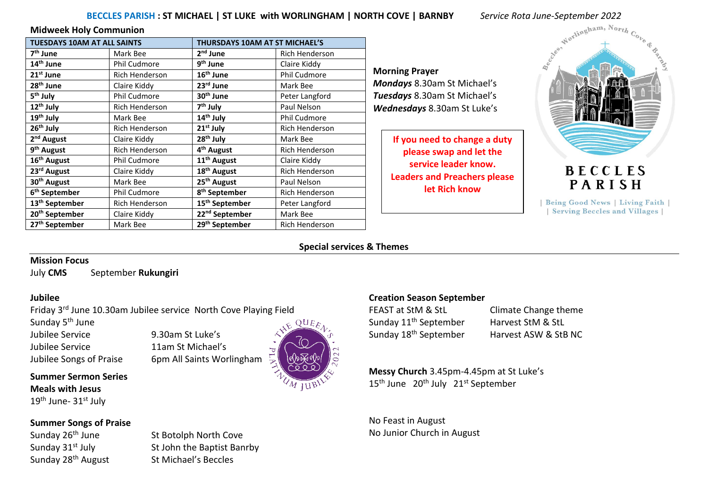# **BECCLES PARISH : ST MICHAEL | ST LUKE with WORLINGHAM | NORTH COVE | BARNBY** *<i>Service Rota June-September 2022*<br>In Communion<br>M AT ALL SAINTS **INCHAEL | THILBENAVE 10000 AT CT LIGHTIC**

#### **Midweek Holy Communion**

| <b>TUESDAYS 10AM AT ALL SAINTS</b> |                       | THURSDAYS 10AM AT ST MICHAEL'S |                       |  |  |  |
|------------------------------------|-----------------------|--------------------------------|-----------------------|--|--|--|
| 7 <sup>th</sup> June               | Mark Bee              | 2 <sup>nd</sup> June           | Rich Henderson        |  |  |  |
| 14 <sup>th</sup> June              | Phil Cudmore          | 9 <sup>th</sup> June           | Claire Kiddy          |  |  |  |
| 21 <sup>st</sup> June              | <b>Rich Henderson</b> | 16 <sup>th</sup> June          | <b>Phil Cudmore</b>   |  |  |  |
| 28 <sup>th</sup> June              | Claire Kiddy          | 23rd June                      | Mark Bee              |  |  |  |
| 5 <sup>th</sup> July               | Phil Cudmore          | 30 <sup>th</sup> June          | Peter Langford        |  |  |  |
| 12 <sup>th</sup> July              | <b>Rich Henderson</b> | 7 <sup>th</sup> July           | Paul Nelson           |  |  |  |
| 19 <sup>th</sup> July              | Mark Bee              | 14 <sup>th</sup> July          | <b>Phil Cudmore</b>   |  |  |  |
| 26 <sup>th</sup> July              | <b>Rich Henderson</b> | $21st$ July                    | <b>Rich Henderson</b> |  |  |  |
| 2 <sup>nd</sup> August             | Claire Kiddy          | 28 <sup>th</sup> July          | Mark Bee              |  |  |  |
| 9 <sup>th</sup> August             | <b>Rich Henderson</b> | 4 <sup>th</sup> August         | Rich Henderson        |  |  |  |
| 16 <sup>th</sup> August            | <b>Phil Cudmore</b>   | 11 <sup>th</sup> August        | Claire Kiddy          |  |  |  |
| 23 <sup>rd</sup> August            | Claire Kiddy          | 18 <sup>th</sup> August        | Rich Henderson        |  |  |  |
| 30 <sup>th</sup> August            | Mark Bee              | 25 <sup>th</sup> August        | Paul Nelson           |  |  |  |
| 6 <sup>th</sup> September          | <b>Phil Cudmore</b>   | 8 <sup>th</sup> September      | Rich Henderson        |  |  |  |
| 13 <sup>th</sup> September         | <b>Rich Henderson</b> | 15 <sup>th</sup> September     | Peter Langford        |  |  |  |
| 20 <sup>th</sup> September         | Claire Kiddy          | 22 <sup>nd</sup> September     | Mark Bee              |  |  |  |
| 27 <sup>th</sup> September         | Mark Bee              | 29 <sup>th</sup> September     | Rich Henderson        |  |  |  |

**Morning Prayer**  *Mondays* 8.30am St Michael's *Tuesdays* 8.30am St Michael's *Wednesdays* 8.30am St Luke's

> **If you need to change a duty please swap and let the service leader know. Leaders and Preachers please let Rich know**



## **BECCLES** PARISH

| Being Good News | Living Faith | | Serving Beccles and Villages |

#### **Special services & Themes**

#### **Mission Focus**

July **CMS** September **Rukungiri**

#### **Jubilee**

Friday 3rd June 10.30am Jubilee service North Cove Playing Field

Sunday 5<sup>th</sup> June

Jubilee Service 9.30am St Luke's

**Summer Sermon Series Meals with Jesus**

19<sup>th</sup> June- 31st July

#### **Summer Songs of Praise**

Sunday 26<sup>th</sup> June St Botolph North Cove Sunday 31<sup>st</sup> July St John the Baptist Banrby Sunday 28<sup>th</sup> August St Michael's Beccles

Jubilee Service 11am St Michael's Jubilee Songs of Praise 6pm All Saints Worlingham



#### **Creation Season September**

Sunday 11<sup>th</sup> September Harvest StM & StL

FEAST at StM & StL Climate Change theme Sunday 18<sup>th</sup> September Harvest ASW & StB NC

**Messy Church** 3.45pm-4.45pm at St Luke's 15<sup>th</sup> June 20<sup>th</sup> July 21<sup>st</sup> September

No Feast in August No Junior Church in August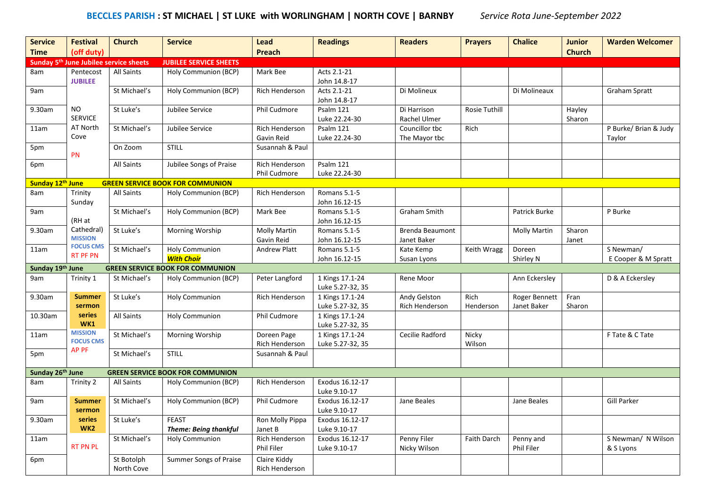## **BECCLES PARISH : ST MICHAEL | ST LUKE with WORLINGHAM | NORTH COVE | BARNBY** *Service Rota June-September 2022*

| <b>Service</b>   | <b>Festival</b>                                    | <b>Church</b>            | <b>Service</b>                               | <b>Lead</b>                           | <b>Readings</b>                     | <b>Readers</b>                  | <b>Prayers</b>  | <b>Chalice</b>          | <b>Junior</b>    | <b>Warden Welcomer</b>          |
|------------------|----------------------------------------------------|--------------------------|----------------------------------------------|---------------------------------------|-------------------------------------|---------------------------------|-----------------|-------------------------|------------------|---------------------------------|
| <b>Time</b>      | (off duty)                                         |                          |                                              | Preach                                |                                     |                                 |                 |                         | <b>Church</b>    |                                 |
|                  | Sunday 5 <sup>th</sup> June Jubilee service sheets |                          | <b>JUBILEE SERVICE SHEETS</b>                |                                       |                                     |                                 |                 |                         |                  |                                 |
| 8am              | Pentecost<br><b>JUBILEE</b>                        | <b>All Saints</b>        | Holy Communion (BCP)                         | Mark Bee                              | Acts 2.1-21<br>John 14.8-17         |                                 |                 |                         |                  |                                 |
| 9am              |                                                    | St Michael's             | Holy Communion (BCP)                         | Rich Henderson                        | Acts 2.1-21<br>John 14.8-17         | Di Molineux                     |                 | Di Molineaux            |                  | <b>Graham Spratt</b>            |
| 9.30am           | <b>NO</b><br><b>SERVICE</b>                        | St Luke's                | Jubilee Service                              | Phil Cudmore                          | Psalm 121<br>Luke 22.24-30          | Di Harrison<br>Rachel Ulmer     | Rosie Tuthill   |                         | Hayley<br>Sharon |                                 |
| 11am             | AT North<br>Cove                                   | St Michael's             | Jubilee Service                              | <b>Rich Henderson</b><br>Gavin Reid   | Psalm 121<br>Luke 22.24-30          | Councillor tbc<br>The Mayor tbc | Rich            |                         |                  | P Burke/ Brian & Judy<br>Taylor |
| 5pm              | PN                                                 | On Zoom                  | <b>STILL</b>                                 | Susannah & Paul                       |                                     |                                 |                 |                         |                  |                                 |
| 6pm              |                                                    | <b>All Saints</b>        | Jubilee Songs of Praise                      | <b>Rich Henderson</b><br>Phil Cudmore | Psalm 121<br>Luke 22.24-30          |                                 |                 |                         |                  |                                 |
| Sunday 12th June |                                                    |                          | <b>GREEN SERVICE BOOK FOR COMMUNION</b>      |                                       |                                     |                                 |                 |                         |                  |                                 |
| 8am              | Trinity<br>Sunday                                  | <b>All Saints</b>        | Holy Communion (BCP)                         | Rich Henderson                        | Romans 5.1-5<br>John 16.12-15       |                                 |                 |                         |                  |                                 |
| 9am              | (RH at                                             | St Michael's             | Holy Communion (BCP)                         | Mark Bee                              | Romans 5.1-5<br>John 16.12-15       | Graham Smith                    |                 | Patrick Burke           |                  | P Burke                         |
| 9.30am           | Cathedral)<br><b>MISSION</b>                       | St Luke's                | Morning Worship                              | <b>Molly Martin</b><br>Gavin Reid     | Romans 5.1-5<br>John 16.12-15       | Brenda Beaumont<br>Janet Baker  |                 | <b>Molly Martin</b>     | Sharon<br>Janet  |                                 |
| 11am             | <b>FOCUS CMS</b><br><b>RT PF PN</b>                | St Michael's             | <b>Holy Communion</b><br><b>With Choir</b>   | <b>Andrew Platt</b>                   | Romans 5.1-5                        | Kate Kemp                       | Keith Wragg     | Doreen                  |                  | S Newman/                       |
| Sunday 19th June |                                                    |                          | <b>GREEN SERVICE BOOK FOR COMMUNION</b>      |                                       | John 16.12-15                       | Susan Lyons                     |                 | Shirley N               |                  | E Cooper & M Spratt             |
| 9am              | Trinity 1                                          | St Michael's             | Holy Communion (BCP)                         | Peter Langford                        | 1 Kings 17.1-24                     | Rene Moor                       |                 | Ann Eckersley           |                  | D & A Eckersley                 |
| 9.30am           | <b>Summer</b>                                      | St Luke's                | <b>Holy Communion</b>                        | Rich Henderson                        | Luke 5.27-32, 35<br>1 Kings 17.1-24 | Andy Gelston                    | Rich            | Roger Bennett           | Fran             |                                 |
|                  | sermon                                             |                          |                                              |                                       | Luke 5.27-32, 35                    | Rich Henderson                  | Henderson       | Janet Baker             | Sharon           |                                 |
| 10.30am          | series<br>WK1                                      | <b>All Saints</b>        | <b>Holy Communion</b>                        | Phil Cudmore                          | 1 Kings 17.1-24<br>Luke 5.27-32, 35 |                                 |                 |                         |                  |                                 |
| 11am             | <b>MISSION</b><br><b>FOCUS CMS</b>                 | St Michael's             | Morning Worship                              | Doreen Page<br>Rich Henderson         | 1 Kings 17.1-24<br>Luke 5.27-32, 35 | Cecilie Radford                 | Nicky<br>Wilson |                         |                  | F Tate & C Tate                 |
| 5pm              | <b>AP PF</b>                                       | St Michael's             | <b>STILL</b>                                 | Susannah & Paul                       |                                     |                                 |                 |                         |                  |                                 |
| Sunday 26th June |                                                    |                          | <b>GREEN SERVICE BOOK FOR COMMUNION</b>      |                                       |                                     |                                 |                 |                         |                  |                                 |
| 8am              | Trinity 2                                          | <b>All Saints</b>        | Holy Communion (BCP)                         | Rich Henderson                        | Exodus 16.12-17<br>Luke 9.10-17     |                                 |                 |                         |                  |                                 |
| 9am              | <b>Summer</b><br>sermon                            | St Michael's             | Holy Communion (BCP)                         | Phil Cudmore                          | Exodus 16.12-17<br>Luke 9.10-17     | Jane Beales                     |                 | Jane Beales             |                  | <b>Gill Parker</b>              |
| 9.30am           | series<br>WK <sub>2</sub>                          | St Luke's                | <b>FEAST</b><br><b>Theme: Being thankful</b> | Ron Molly Pippa<br>Janet B            | Exodus 16.12-17<br>Luke 9.10-17     |                                 |                 |                         |                  |                                 |
| 11am             | <b>RT PN PL</b>                                    | St Michael's             | <b>Holy Communion</b>                        | Rich Henderson<br>Phil Filer          | Exodus 16.12-17<br>Luke 9.10-17     | Penny Filer<br>Nicky Wilson     | Faith Darch     | Penny and<br>Phil Filer |                  | S Newman/ N Wilson<br>& S Lyons |
| 6pm              |                                                    | St Botolph<br>North Cove | Summer Songs of Praise                       | Claire Kiddy<br>Rich Henderson        |                                     |                                 |                 |                         |                  |                                 |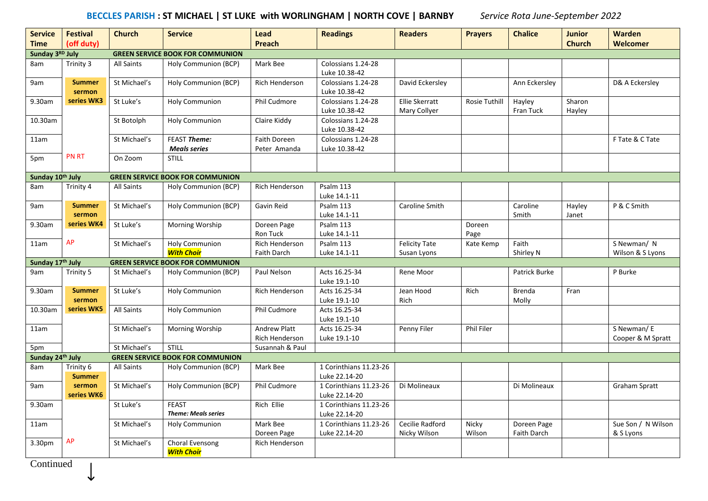## **BECCLES PARISH : ST MICHAEL | ST LUKE with WORLINGHAM | NORTH COVE | BARNBY** *Service Rota June-September 2022*

| <b>Service</b>   | <b>Festival</b>            | <b>Church</b>     | <b>Service</b>                             | Lead                                  | <b>Readings</b>                         | <b>Readers</b>                        | <b>Prayers</b>    | <b>Chalice</b>                    | <b>Junior</b>    | Warden                          |
|------------------|----------------------------|-------------------|--------------------------------------------|---------------------------------------|-----------------------------------------|---------------------------------------|-------------------|-----------------------------------|------------------|---------------------------------|
| <b>Time</b>      | (off duty)                 |                   |                                            | <b>Preach</b>                         |                                         |                                       |                   |                                   | <b>Church</b>    | Welcomer                        |
| Sunday 3RD July  |                            |                   | <b>GREEN SERVICE BOOK FOR COMMUNION</b>    |                                       |                                         |                                       |                   |                                   |                  |                                 |
| 8am              | Trinity 3                  | <b>All Saints</b> | Holy Communion (BCP)                       | Mark Bee                              | Colossians 1.24-28<br>Luke 10.38-42     |                                       |                   |                                   |                  |                                 |
| 9am              | <b>Summer</b><br>sermon    | St Michael's      | Holy Communion (BCP)                       | Rich Henderson                        | Colossians 1.24-28<br>Luke 10.38-42     | David Eckersley                       |                   | Ann Eckersley                     |                  | D& A Eckersley                  |
| 9.30am           | series WK3                 | St Luke's         | <b>Holy Communion</b>                      | Phil Cudmore                          | Colossians 1.24-28<br>Luke 10.38-42     | <b>Ellie Skerratt</b><br>Mary Collyer | Rosie Tuthill     | Hayley<br>Fran Tuck               | Sharon<br>Hayley |                                 |
| 10.30am          |                            | St Botolph        | <b>Holy Communion</b>                      | Claire Kiddy                          | Colossians 1.24-28<br>Luke 10.38-42     |                                       |                   |                                   |                  |                                 |
| 11am             |                            | St Michael's      | FEAST Theme:<br><b>Meals series</b>        | Faith Doreen<br>Peter Amanda          | Colossians 1.24-28<br>Luke 10.38-42     |                                       |                   |                                   |                  | F Tate & C Tate                 |
| 5pm              | <b>PN RT</b>               | On Zoom           | <b>STILL</b>                               |                                       |                                         |                                       |                   |                                   |                  |                                 |
| Sunday 10th July |                            |                   | <b>GREEN SERVICE BOOK FOR COMMUNION</b>    |                                       |                                         |                                       |                   |                                   |                  |                                 |
| 8am              | Trinity 4                  | <b>All Saints</b> | Holy Communion (BCP)                       | <b>Rich Henderson</b>                 | Psalm 113<br>Luke 14.1-11               |                                       |                   |                                   |                  |                                 |
| 9am              | <b>Summer</b><br>sermon    | St Michael's      | Holy Communion (BCP)                       | Gavin Reid                            | Psalm 113<br>Luke 14.1-11               | Caroline Smith                        |                   | Caroline<br>Smith                 | Hayley<br>Janet  | P & C Smith                     |
| 9.30am           | series WK4                 | St Luke's         | Morning Worship                            | Doreen Page<br>Ron Tuck               | Psalm 113<br>Luke 14.1-11               |                                       | Doreen<br>Page    |                                   |                  |                                 |
| 11am             | AP                         | St Michael's      | <b>Holy Communion</b>                      | Rich Henderson                        | Psalm 113                               | <b>Felicity Tate</b>                  | Kate Kemp         | Faith                             |                  | S Newman/ N                     |
|                  |                            |                   | <b>With Choir</b>                          | Faith Darch                           | Luke 14.1-11                            | Susan Lyons                           |                   | Shirley N                         |                  | Wilson & S Lyons                |
| Sunday 17th July |                            |                   | <b>GREEN SERVICE BOOK FOR COMMUNION</b>    |                                       |                                         |                                       |                   |                                   |                  |                                 |
| 9am              | Trinity 5                  | St Michael's      | Holy Communion (BCP)                       | Paul Nelson                           | Acts 16.25-34<br>Luke 19.1-10           | Rene Moor                             |                   | Patrick Burke                     |                  | P Burke                         |
| 9.30am           | <b>Summer</b><br>sermon    | St Luke's         | <b>Holy Communion</b>                      | Rich Henderson                        | Acts 16.25-34<br>Luke 19.1-10           | Jean Hood<br>Rich                     | Rich              | <b>Brenda</b><br>Molly            | Fran             |                                 |
| 10.30am          | series WK5                 | All Saints        | <b>Holy Communion</b>                      | Phil Cudmore                          | Acts 16.25-34<br>Luke 19.1-10           |                                       |                   |                                   |                  |                                 |
| 11am             |                            | St Michael's      | Morning Worship                            | <b>Andrew Platt</b><br>Rich Henderson | Acts 16.25-34<br>Luke 19.1-10           | Penny Filer                           | <b>Phil Filer</b> |                                   |                  | S Newman/E<br>Cooper & M Spratt |
| 5pm              |                            | St Michael's      | <b>STILL</b>                               | Susannah & Paul                       |                                         |                                       |                   |                                   |                  |                                 |
| Sunday 24th July |                            |                   | <b>GREEN SERVICE BOOK FOR COMMUNION</b>    |                                       |                                         |                                       |                   |                                   |                  |                                 |
| 8am              | Trinity 6<br><b>Summer</b> | All Saints        | Holy Communion (BCP)                       | Mark Bee                              | 1 Corinthians 11.23-26<br>Luke 22.14-20 |                                       |                   |                                   |                  |                                 |
| 9am              | sermon<br>series WK6       | St Michael's      | Holy Communion (BCP)                       | Phil Cudmore                          | 1 Corinthians 11.23-26<br>Luke 22.14-20 | Di Molineaux                          |                   | Di Molineaux                      |                  | <b>Graham Spratt</b>            |
| 9.30am           |                            | St Luke's         | <b>FEAST</b><br><b>Theme: Meals series</b> | Rich Ellie                            | 1 Corinthians 11.23-26<br>Luke 22.14-20 |                                       |                   |                                   |                  |                                 |
| 11am             |                            | St Michael's      | <b>Holy Communion</b>                      | Mark Bee<br>Doreen Page               | 1 Corinthians 11.23-26<br>Luke 22.14-20 | Cecilie Radford<br>Nicky Wilson       | Nicky<br>Wilson   | Doreen Page<br><b>Faith Darch</b> |                  | Sue Son / N Wilson<br>& S Lyons |
| 3.30pm           | AP                         | St Michael's      | Choral Evensong<br><b>With Choir</b>       | Rich Henderson                        |                                         |                                       |                   |                                   |                  |                                 |

**Continued** 

↓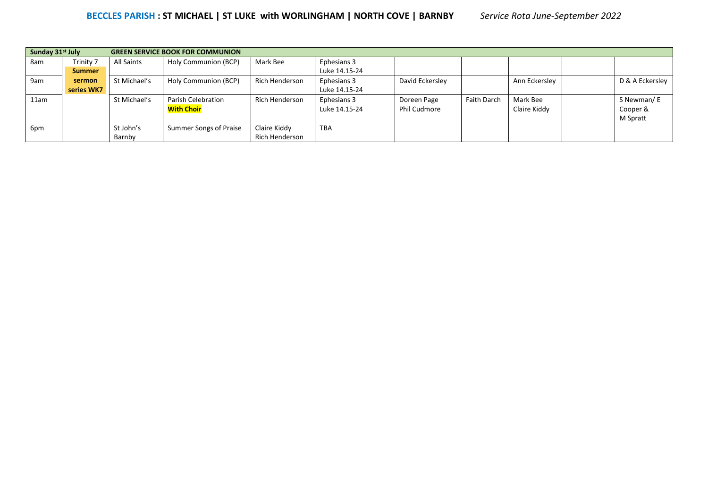| Sunday 31 <sup>st</sup> July |               |              | <b>GREEN SERVICE BOOK FOR COMMUNION</b> |                       |               |                     |                    |               |                 |
|------------------------------|---------------|--------------|-----------------------------------------|-----------------------|---------------|---------------------|--------------------|---------------|-----------------|
| 8am                          | Trinity 7     | All Saints   | Holy Communion (BCP)                    | Mark Bee              | Ephesians 3   |                     |                    |               |                 |
|                              | <b>Summer</b> |              |                                         |                       | Luke 14.15-24 |                     |                    |               |                 |
| 9am                          | sermon        | St Michael's | Holy Communion (BCP)                    | <b>Rich Henderson</b> | Ephesians 3   | David Eckersley     |                    | Ann Eckersley | D & A Eckersley |
|                              | series WK7    |              |                                         |                       | Luke 14.15-24 |                     |                    |               |                 |
| 11am                         |               | St Michael's | <b>Parish Celebration</b>               | <b>Rich Henderson</b> | Ephesians 3   | Doreen Page         | <b>Faith Darch</b> | Mark Bee      | S Newman/E      |
|                              |               |              | <b>With Choir</b>                       |                       | Luke 14.15-24 | <b>Phil Cudmore</b> |                    | Claire Kiddy  | Cooper &        |
|                              |               |              |                                         |                       |               |                     |                    |               | M Spratt        |
| 6pm                          |               | St John's    | Summer Songs of Praise                  | Claire Kiddy          | <b>TBA</b>    |                     |                    |               |                 |
|                              |               | Barnby       |                                         | Rich Henderson        |               |                     |                    |               |                 |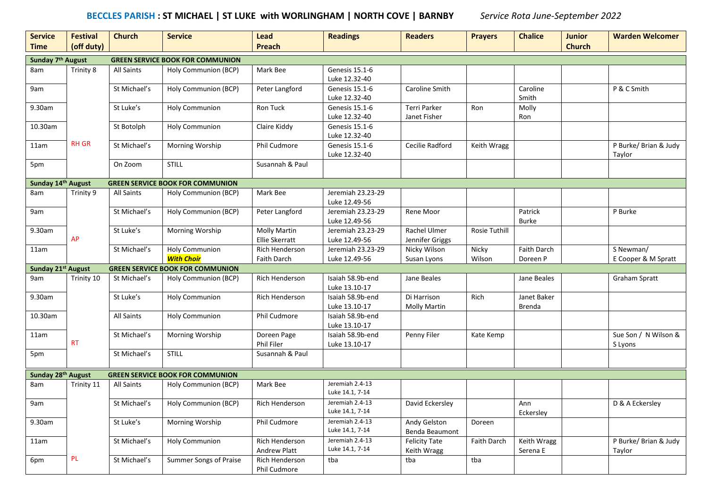#### **BECCLES PARISH : ST MICHAEL | ST LUKE with WORLINGHAM | NORTH COVE | BARNBY** *Service Rota June-September 2022*

| <b>Service</b><br><b>Time</b> | <b>Festival</b><br>(off duty) | <b>Church</b>     | <b>Service</b>                             | <b>Lead</b><br><b>Preach</b>          | <b>Readings</b>                    | <b>Readers</b>                      | <b>Prayers</b>       | <b>Chalice</b>               | <b>Junior</b><br><b>Church</b> | <b>Warden Welcomer</b>           |
|-------------------------------|-------------------------------|-------------------|--------------------------------------------|---------------------------------------|------------------------------------|-------------------------------------|----------------------|------------------------------|--------------------------------|----------------------------------|
| Sunday 7 <sup>th</sup> August |                               |                   | <b>GREEN SERVICE BOOK FOR COMMUNION</b>    |                                       |                                    |                                     |                      |                              |                                |                                  |
| 8am                           | Trinity 8                     | <b>All Saints</b> | Holy Communion (BCP)                       | Mark Bee                              | Genesis 15.1-6<br>Luke 12.32-40    |                                     |                      |                              |                                |                                  |
| 9am                           |                               | St Michael's      | Holy Communion (BCP)                       | Peter Langford                        | Genesis 15.1-6<br>Luke 12.32-40    | Caroline Smith                      |                      | Caroline<br>Smith            |                                | P & C Smith                      |
| 9.30am                        |                               | St Luke's         | <b>Holy Communion</b>                      | Ron Tuck                              | Genesis 15.1-6<br>Luke 12.32-40    | <b>Terri Parker</b><br>Janet Fisher | Ron                  | Molly<br>Ron                 |                                |                                  |
| 10.30am                       |                               | St Botolph        | <b>Holy Communion</b>                      | Claire Kiddy                          | Genesis 15.1-6<br>Luke 12.32-40    |                                     |                      |                              |                                |                                  |
| 11am                          | <b>RH GR</b>                  | St Michael's      | Morning Worship                            | Phil Cudmore                          | Genesis 15.1-6<br>Luke 12.32-40    | Cecilie Radford                     | Keith Wragg          |                              |                                | P Burke/ Brian & Judy<br>Taylor  |
| 5pm                           |                               | On Zoom           | <b>STILL</b>                               | Susannah & Paul                       |                                    |                                     |                      |                              |                                |                                  |
| Sunday 14th August            |                               |                   | <b>GREEN SERVICE BOOK FOR COMMUNION</b>    |                                       |                                    |                                     |                      |                              |                                |                                  |
| 8am                           | Trinity 9                     | <b>All Saints</b> | Holy Communion (BCP)                       | Mark Bee                              | Jeremiah 23.23-29<br>Luke 12.49-56 |                                     |                      |                              |                                |                                  |
| 9am                           |                               | St Michael's      | Holy Communion (BCP)                       | Peter Langford                        | Jeremiah 23.23-29<br>Luke 12.49-56 | Rene Moor                           |                      | Patrick<br><b>Burke</b>      |                                | P Burke                          |
| 9.30am                        | AP                            | St Luke's         | Morning Worship                            | <b>Molly Martin</b><br>Ellie Skerratt | Jeremiah 23.23-29<br>Luke 12.49-56 | Rachel Ulmer<br>Jennifer Griggs     | <b>Rosie Tuthill</b> |                              |                                |                                  |
| 11am                          |                               | St Michael's      | <b>Holy Communion</b><br><b>With Choir</b> | Rich Henderson<br><b>Faith Darch</b>  | Jeremiah 23.23-29<br>Luke 12.49-56 | Nicky Wilson<br>Susan Lyons         | Nicky<br>Wilson      | Faith Darch<br>Doreen P      |                                | S Newman/<br>E Cooper & M Spratt |
| Sunday 21st August            |                               |                   | <b>GREEN SERVICE BOOK FOR COMMUNION</b>    |                                       |                                    |                                     |                      |                              |                                |                                  |
| 9am                           | Trinity 10                    | St Michael's      | Holy Communion (BCP)                       | Rich Henderson                        | Isaiah 58.9b-end<br>Luke 13.10-17  | Jane Beales                         |                      | Jane Beales                  |                                | Graham Spratt                    |
| 9.30am                        |                               | St Luke's         | <b>Holy Communion</b>                      | Rich Henderson                        | Isaiah 58.9b-end<br>Luke 13.10-17  | Di Harrison<br><b>Molly Martin</b>  | Rich                 | Janet Baker<br><b>Brenda</b> |                                |                                  |
| 10.30am                       |                               | All Saints        | <b>Holy Communion</b>                      | Phil Cudmore                          | Isaiah 58.9b-end<br>Luke 13.10-17  |                                     |                      |                              |                                |                                  |
| 11am                          | <b>RT</b>                     | St Michael's      | Morning Worship                            | Doreen Page<br>Phil Filer             | Isaiah 58.9b-end<br>Luke 13.10-17  | Penny Filer                         | Kate Kemp            |                              |                                | Sue Son / N Wilson &<br>S Lyons  |
| 5pm                           |                               | St Michael's      | <b>STILL</b>                               | Susannah & Paul                       |                                    |                                     |                      |                              |                                |                                  |
| Sunday 28th August            |                               |                   | <b>GREEN SERVICE BOOK FOR COMMUNION</b>    |                                       |                                    |                                     |                      |                              |                                |                                  |
| 8am                           | Trinity 11                    | <b>All Saints</b> | Holy Communion (BCP)                       | Mark Bee                              | Jeremiah 2.4-13<br>Luke 14.1, 7-14 |                                     |                      |                              |                                |                                  |
| 9am                           |                               | St Michael's      | Holy Communion (BCP)                       | Rich Henderson                        | Jeremiah 2.4-13<br>Luke 14.1, 7-14 | David Eckersley                     |                      | Ann<br>Eckersley             |                                | D & A Eckersley                  |
| 9.30am                        |                               | St Luke's         | Morning Worship                            | Phil Cudmore                          | Jeremiah 2.4-13<br>Luke 14.1, 7-14 | Andy Gelston<br>Benda Beaumont      | Doreen               |                              |                                |                                  |
| 11am                          |                               | St Michael's      | <b>Holy Communion</b>                      | Rich Henderson<br>Andrew Platt        | Jeremiah 2.4-13<br>Luke 14.1, 7-14 | <b>Felicity Tate</b><br>Keith Wragg | Faith Darch          | Keith Wragg<br>Serena E      |                                | P Burke/ Brian & Judy<br>Taylor  |
| 6pm                           | $\mathsf{PL}$                 | St Michael's      | Summer Songs of Praise                     | Rich Henderson<br>Phil Cudmore        | tba                                | tba                                 | tba                  |                              |                                |                                  |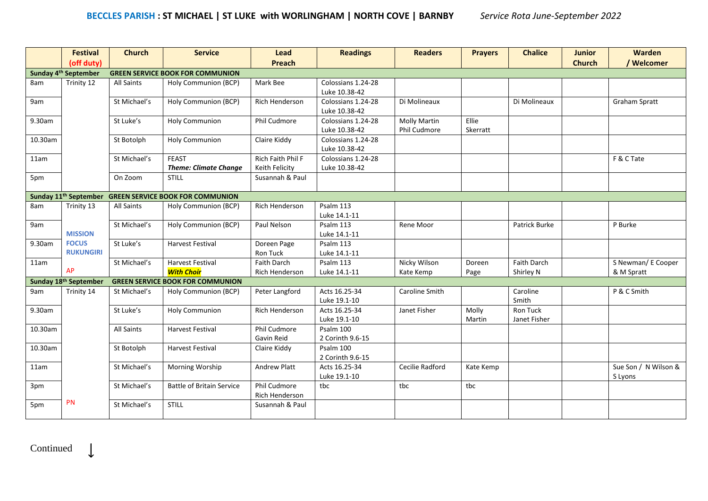|         | <b>Festival</b>                   | <b>Church</b>     | <b>Service</b>                               | Lead                                        | <b>Readings</b>                     | <b>Readers</b>                      | <b>Prayers</b>    | <b>Chalice</b>                  | <b>Junior</b> | <b>Warden</b>                    |
|---------|-----------------------------------|-------------------|----------------------------------------------|---------------------------------------------|-------------------------------------|-------------------------------------|-------------------|---------------------------------|---------------|----------------------------------|
|         | (off duty)                        |                   |                                              | Preach                                      |                                     |                                     |                   |                                 | <b>Church</b> | / Welcomer                       |
|         | Sunday 4 <sup>th</sup> September  |                   | <b>GREEN SERVICE BOOK FOR COMMUNION</b>      |                                             |                                     |                                     |                   |                                 |               |                                  |
| 8am     | Trinity 12                        | All Saints        | Holy Communion (BCP)                         | Mark Bee                                    | Colossians 1.24-28<br>Luke 10.38-42 |                                     |                   |                                 |               |                                  |
| 9am     |                                   | St Michael's      | Holy Communion (BCP)                         | Rich Henderson                              | Colossians 1.24-28<br>Luke 10.38-42 | Di Molineaux                        |                   | Di Molineaux                    |               | <b>Graham Spratt</b>             |
| 9.30am  |                                   | St Luke's         | <b>Holy Communion</b>                        | Phil Cudmore                                | Colossians 1.24-28<br>Luke 10.38-42 | <b>Molly Martin</b><br>Phil Cudmore | Ellie<br>Skerratt |                                 |               |                                  |
| 10.30am |                                   | St Botolph        | <b>Holy Communion</b>                        | Claire Kiddy                                | Colossians 1.24-28<br>Luke 10.38-42 |                                     |                   |                                 |               |                                  |
| 11am    |                                   | St Michael's      | <b>FEAST</b><br><b>Theme: Climate Change</b> | Rich Faith Phil F<br>Keith Felicity         | Colossians 1.24-28<br>Luke 10.38-42 |                                     |                   |                                 |               | F & C Tate                       |
| 5pm     |                                   | On Zoom           | <b>STILL</b>                                 | Susannah & Paul                             |                                     |                                     |                   |                                 |               |                                  |
|         | Sunday 11 <sup>th</sup> September |                   | <b>GREEN SERVICE BOOK FOR COMMUNION</b>      |                                             |                                     |                                     |                   |                                 |               |                                  |
| 8am     | Trinity 13                        | <b>All Saints</b> | Holy Communion (BCP)                         | <b>Rich Henderson</b>                       | Psalm 113<br>Luke 14.1-11           |                                     |                   |                                 |               |                                  |
| 9am     | <b>MISSION</b>                    | St Michael's      | Holy Communion (BCP)                         | Paul Nelson                                 | Psalm 113<br>Luke 14.1-11           | Rene Moor                           |                   | Patrick Burke                   |               | P Burke                          |
| 9.30am  | <b>FOCUS</b><br><b>RUKUNGIRI</b>  | St Luke's         | <b>Harvest Festival</b>                      | Doreen Page                                 | Psalm 113                           |                                     |                   |                                 |               |                                  |
|         |                                   |                   |                                              | <b>Ron Tuck</b>                             | Luke 14.1-11                        |                                     |                   | <b>Faith Darch</b>              |               |                                  |
| 11am    | AP                                | St Michael's      | <b>Harvest Festival</b><br><b>With Choir</b> | <b>Faith Darch</b><br><b>Rich Henderson</b> | Psalm 113<br>Luke 14.1-11           | Nicky Wilson<br>Kate Kemp           | Doreen            | Shirley N                       |               | S Newman/ E Cooper<br>& M Spratt |
|         | Sunday 18th September             |                   | <b>GREEN SERVICE BOOK FOR COMMUNION</b>      |                                             |                                     |                                     | Page              |                                 |               |                                  |
| 9am     |                                   | St Michael's      |                                              | Peter Langford                              | Acts 16.25-34                       | Caroline Smith                      |                   | Caroline                        |               | P & C Smith                      |
|         | Trinity 14                        |                   | Holy Communion (BCP)                         |                                             | Luke 19.1-10                        |                                     |                   | Smith                           |               |                                  |
| 9.30am  |                                   | St Luke's         | <b>Holy Communion</b>                        | <b>Rich Henderson</b>                       | Acts 16.25-34<br>Luke 19.1-10       | Janet Fisher                        | Molly<br>Martin   | <b>Ron Tuck</b><br>Janet Fisher |               |                                  |
| 10.30am |                                   | <b>All Saints</b> | <b>Harvest Festival</b>                      | Phil Cudmore<br>Gavin Reid                  | Psalm 100<br>2 Corinth 9.6-15       |                                     |                   |                                 |               |                                  |
| 10.30am |                                   | St Botolph        | <b>Harvest Festival</b>                      | Claire Kiddy                                | Psalm 100<br>2 Corinth 9.6-15       |                                     |                   |                                 |               |                                  |
| 11am    |                                   | St Michael's      | Morning Worship                              | Andrew Platt                                | Acts 16.25-34<br>Luke 19.1-10       | Cecilie Radford                     | Kate Kemp         |                                 |               | Sue Son / N Wilson &<br>S Lyons  |
| 3pm     |                                   | St Michael's      | <b>Battle of Britain Service</b>             | Phil Cudmore<br><b>Rich Henderson</b>       | tbc                                 | tbc                                 | tbc               |                                 |               |                                  |
| 5pm     | <b>PN</b>                         | St Michael's      | <b>STILL</b>                                 | Susannah & Paul                             |                                     |                                     |                   |                                 |               |                                  |

Continued

 $\downarrow$